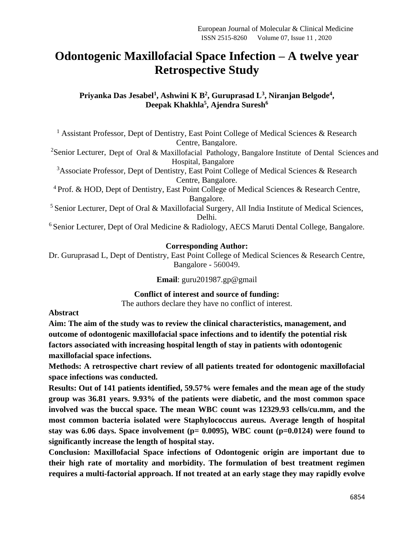# **Odontogenic Maxillofacial Space Infection – A twelve year Retrospective Study**

**Priyanka Das Jesabel<sup>1</sup> , Ashwini K B<sup>2</sup> , Guruprasad L<sup>3</sup> , Niranjan Belgode<sup>4</sup> , Deepak Khakhla<sup>5</sup> , Ajendra Suresh<sup>6</sup>**

<sup>1</sup> Assistant Professor, Dept of Dentistry, East Point College of Medical Sciences & Research Centre, Bangalore.

<sup>2</sup>Senior Lecturer, Dept of Oral & Maxillofacial Pathology, Bangalore Institute of Dental Sciences and Hospital, Bangalore

<sup>3</sup>Associate Professor, Dept of Dentistry, East Point College of Medical Sciences & Research Centre, Bangalore.

<sup>4</sup> Prof. & HOD, Dept of Dentistry, East Point College of Medical Sciences & Research Centre, Bangalore.

<sup>5</sup> Senior Lecturer, Dept of Oral & Maxillofacial Surgery, All India Institute of Medical Sciences, Delhi.

<sup>6</sup> Senior Lecturer, Dept of Oral Medicine & Radiology, AECS Maruti Dental College, Bangalore.

## **Corresponding Author:**

Dr. Guruprasad L, Dept of Dentistry, East Point College of Medical Sciences & Research Centre, Bangalore - 560049.

**Email**: [guru201987.gp@gmail](mailto:guru201987.gp@gmail)

**Conflict of interest and source of funding:**

The authors declare they have no conflict of interest.

#### **Abstract**

**Aim: The aim of the study was to review the clinical characteristics, management, and outcome of odontogenic maxillofacial space infections and to identify the potential risk factors associated with increasing hospital length of stay in patients with odontogenic maxillofacial space infections.**

**Methods: A retrospective chart review of all patients treated for odontogenic maxillofacial space infections was conducted.**

**Results: Out of 141 patients identified, 59.57% were females and the mean age of the study group was 36.81 years. 9.93% of the patients were diabetic, and the most common space involved was the buccal space. The mean WBC count was 12329.93 cells/cu.mm, and the most common bacteria isolated were Staphylococcus aureus. Average length of hospital stay was 6.06 days. Space involvement (p= 0.0095), WBC count (p=0.0124) were found to significantly increase the length of hospital stay.** 

**Conclusion: Maxillofacial Space infections of Odontogenic origin are important due to their high rate of mortality and morbidity. The formulation of best treatment regimen requires a multi-factorial approach. If not treated at an early stage they may rapidly evolve**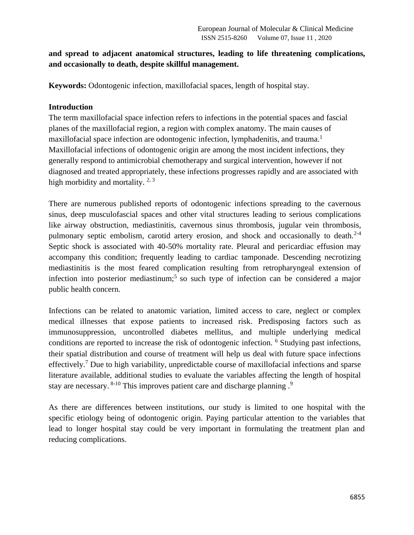## **and spread to adjacent anatomical structures, leading to life threatening complications, and occasionally to death, despite skillful management.**

**Keywords:** Odontogenic infection, maxillofacial spaces, length of hospital stay.

#### **Introduction**

The term maxillofacial space infection refers to infections in the potential spaces and fascial planes of the maxillofacial region, a region with complex anatomy. The main causes of maxillofacial space infection are odontogenic infection, lymphadenitis, and trauma.<sup>1</sup> Maxillofacial infections of odontogenic origin are among the most incident infections, they generally respond to antimicrobial chemotherapy and surgical intervention, however if not diagnosed and treated appropriately, these infections progresses rapidly and are associated with high morbidity and mortality.  $2, 3$ 

There are numerous published reports of odontogenic infections spreading to the cavernous sinus, deep musculofascial spaces and other vital structures leading to serious complications like airway obstruction, mediastinitis, cavernous sinus thrombosis, jugular vein thrombosis, pulmonary septic embolism, carotid artery erosion, and shock and occasionally to death.<sup>2-4</sup> Septic shock is associated with 40-50% mortality rate. Pleural and pericardiac effusion may accompany this condition; frequently leading to cardiac tamponade. Descending necrotizing mediastinitis is the most feared complication resulting from retropharyngeal extension of infection into posterior mediastinum;<sup>5</sup> so such type of infection can be considered a major public health concern.

Infections can be related to anatomic variation, limited access to care, neglect or complex medical illnesses that expose patients to increased risk. Predisposing factors such as immunosuppression, uncontrolled diabetes mellitus, and multiple underlying medical conditions are reported to increase the risk of odontogenic infection. <sup>6</sup> Studying past infections, their spatial distribution and course of treatment will help us deal with future space infections effectively.<sup>7</sup> Due to high variability, unpredictable course of maxillofacial infections and sparse literature available, additional studies to evaluate the variables affecting the length of hospital stay are necessary. <sup>8-10</sup> This improves patient care and discharge planning .<sup>9</sup>

As there are differences between institutions, our study is limited to one hospital with the specific etiology being of odontogenic origin. Paying particular attention to the variables that lead to longer hospital stay could be very important in formulating the treatment plan and reducing complications.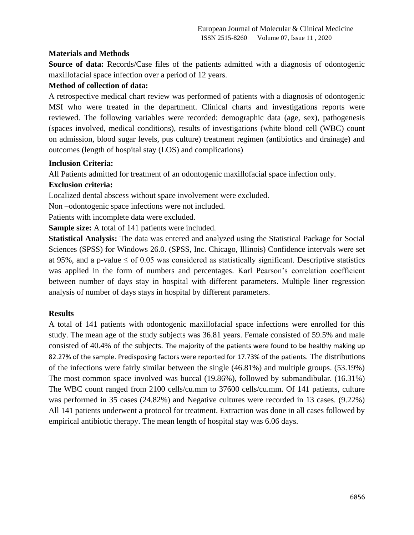## **Materials and Methods**

**Source of data:** Records/Case files of the patients admitted with a diagnosis of odontogenic maxillofacial space infection over a period of 12 years.

#### **Method of collection of data:**

A retrospective medical chart review was performed of patients with a diagnosis of odontogenic MSI who were treated in the department. Clinical charts and investigations reports were reviewed. The following variables were recorded: demographic data (age, sex), pathogenesis (spaces involved, medical conditions), results of investigations (white blood cell (WBC) count on admission, blood sugar levels, pus culture) treatment regimen (antibiotics and drainage) and outcomes (length of hospital stay (LOS) and complications)

#### **Inclusion Criteria:**

All Patients admitted for treatment of an odontogenic maxillofacial space infection only.

## **Exclusion criteria:**

Localized dental abscess without space involvement were excluded.

Non –odontogenic space infections were not included.

Patients with incomplete data were excluded.

**Sample size:** A total of 141 patients were included.

**Statistical Analysis:** The data was entered and analyzed using the Statistical Package for Social Sciences (SPSS) for Windows 26.0. (SPSS, Inc. Chicago, Illinois) Confidence intervals were set at 95%, and a p-value  $\leq$  of 0.05 was considered as statistically significant. Descriptive statistics was applied in the form of numbers and percentages. Karl Pearson's correlation coefficient between number of days stay in hospital with different parameters. Multiple liner regression analysis of number of days stays in hospital by different parameters.

#### **Results**

A total of 141 patients with odontogenic maxillofacial space infections were enrolled for this study. The mean age of the study subjects was 36.81 years. Female consisted of 59.5% and male consisted of 40.4% of the subjects. The majority of the patients were found to be healthy making up 82.27% of the sample. Predisposing factors were reported for 17.73% of the patients. The distributions of the infections were fairly similar between the single (46.81%) and multiple groups. (53.19%) The most common space involved was buccal (19.86%), followed by submandibular. (16.31%) The WBC count ranged from 2100 cells/cu.mm to 37600 cells/cu.mm. Of 141 patients, culture was performed in 35 cases (24.82%) and Negative cultures were recorded in 13 cases. (9.22%) All 141 patients underwent a protocol for treatment. Extraction was done in all cases followed by empirical antibiotic therapy. The mean length of hospital stay was 6.06 days.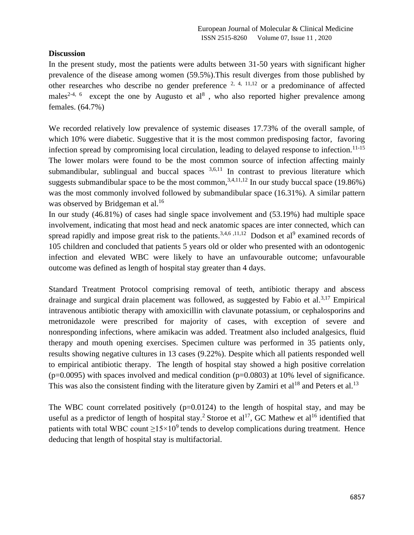## **Discussion**

In the present study, most the patients were adults between 31-50 years with significant higher prevalence of the disease among women (59.5%).This result diverges from those published by other researches who describe no gender preference  $^{2, 4, 11, 12}$  or a predominance of affected males<sup>2-4, 6</sup> except the one by Augusto et al<sup>8</sup>, who also reported higher prevalence among females. (64.7%)

We recorded relatively low prevalence of systemic diseases 17.73% of the overall sample, of which 10% were diabetic. Suggestive that it is the most common predisposing factor, favoring infection spread by compromising local circulation, leading to delayed response to infection.<sup>11-15</sup> The lower molars were found to be the most common source of infection affecting mainly submandibular, sublingual and buccal spaces  $3,6,11$  In contrast to previous literature which suggests submandibular space to be the most common,  $3,4,11,12$  In our study buccal space (19.86%) was the most commonly involved followed by submandibular space (16.31%). A similar pattern was observed by Bridgeman et al.<sup>16</sup>

In our study (46.81%) of cases had single space involvement and (53.19%) had multiple space involvement, indicating that most head and neck anatomic spaces are inter connected, which can spread rapidly and impose great risk to the patients.<sup>3,4,6 ,11,12</sup> Dodson et al<sup>9</sup> examined records of 105 children and concluded that patients 5 years old or older who presented with an odontogenic infection and elevated WBC were likely to have an unfavourable outcome; unfavourable outcome was defined as length of hospital stay greater than 4 days.

Standard Treatment Protocol comprising removal of teeth, antibiotic therapy and abscess drainage and surgical drain placement was followed, as suggested by Fabio et al.<sup>3,17</sup> Empirical intravenous antibiotic therapy with amoxicillin with clavunate potassium, or cephalosporins and metronidazole were prescribed for majority of cases, with exception of severe and nonresponding infections, where amikacin was added. Treatment also included analgesics, fluid therapy and mouth opening exercises. Specimen culture was performed in 35 patients only, results showing negative cultures in 13 cases (9.22%). Despite which all patients responded well to empirical antibiotic therapy. The length of hospital stay showed a high positive correlation  $(p=0.0095)$  with spaces involved and medical condition  $(p=0.0803)$  at 10% level of significance. This was also the consistent finding with the literature given by Zamiri et al<sup>18</sup> and Peters et al.<sup>13</sup>

The WBC count correlated positively  $(p=0.0124)$  to the length of hospital stay, and may be useful as a predictor of length of hospital stay.<sup>2</sup> Storoe et al<sup>17</sup>, GC Mathew et al<sup>16</sup> identified that patients with total WBC count  $>15\times10^9$  tends to develop complications during treatment. Hence deducing that length of hospital stay is multifactorial.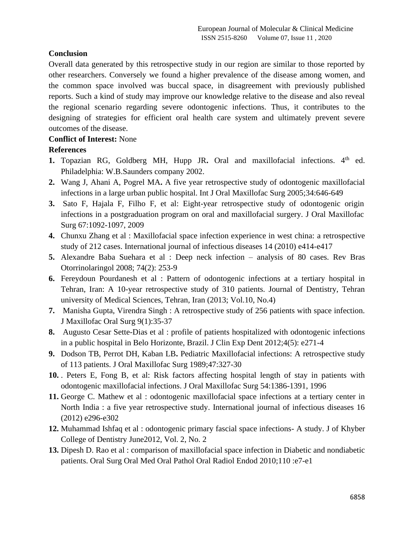## **Conclusion**

Overall data generated by this retrospective study in our region are similar to those reported by other researchers. Conversely we found a higher prevalence of the disease among women, and the common space involved was buccal space, in disagreement with previously published reports. Such a kind of study may improve our knowledge relative to the disease and also reveal the regional scenario regarding severe odontogenic infections. Thus, it contributes to the designing of strategies for efficient oral health care system and ultimately prevent severe outcomes of the disease.

## **Conflict of Interest:** None

# **References**

- **1.** Topazian RG, Goldberg MH, Hupp JR. Oral and maxillofacial infections. 4<sup>th</sup> ed. Philadelphia: W.B.Saunders company 2002.
- **2.** Wang J, Ahani A, Pogrel MA**.** A five year retrospective study of odontogenic maxillofacial infections in a large urban public hospital. Int J Oral Maxillofac Surg 2005;34:646-649
- **3.** Sato F, Hajala F, Filho F, et al: Eight-year retrospective study of odontogenic origin infections in a postgraduation program on oral and maxillofacial surgery. J Oral Maxillofac Surg 67:1092-1097, 2009
- **4.** Chunxu Zhang et al : Maxillofacial space infection experience in west china: a retrospective study of 212 cases. International journal of infectious diseases 14 (2010) e414-e417
- **5.** Alexandre Baba Suehara et al : Deep neck infection analysis of 80 cases. Rev Bras Otorrinolaringol 2008; 74(2): 253-9
- **6.** Fereydoun Pourdanesh et al : Pattern of odontogenic infections at a tertiary hospital in Tehran, Iran: A 10-year retrospective study of 310 patients. Journal of Dentistry, Tehran university of Medical Sciences, Tehran, Iran (2013; Vol.10, No.4)
- **7.** Manisha Gupta, Virendra Singh : A retrospective study of 256 patients with space infection. J Maxillofac Oral Surg 9(1):35-37
- **8.** Augusto Cesar Sette-Dias et al : profile of patients hospitalized with odontogenic infections in a public hospital in Belo Horizonte, Brazil. J Clin Exp Dent 2012;4(5): e271-4
- **9.** Dodson TB, Perrot DH, Kaban LB**.** Pediatric Maxillofacial infections: A retrospective study of 113 patients. J Oral Maxillofac Surg 1989;47:327-30
- **10.** . Peters E, Fong B, et al: Risk factors affecting hospital length of stay in patients with odontogenic maxillofacial infections. J Oral Maxillofac Surg 54:1386-1391, 1996
- **11.** George C. Mathew et al : odontogenic maxillofacial space infections at a tertiary center in North India : a five year retrospective study. International journal of infectious diseases 16 (2012) e296-e302
- **12.** Muhammad Ishfaq et al : odontogenic primary fascial space infections- A study. J of Khyber College of Dentistry June2012, Vol. 2, No. 2
- **13.** Dipesh D. Rao et al : comparison of maxillofacial space infection in Diabetic and nondiabetic patients. Oral Surg Oral Med Oral Pathol Oral Radiol Endod 2010;110 :e7-e1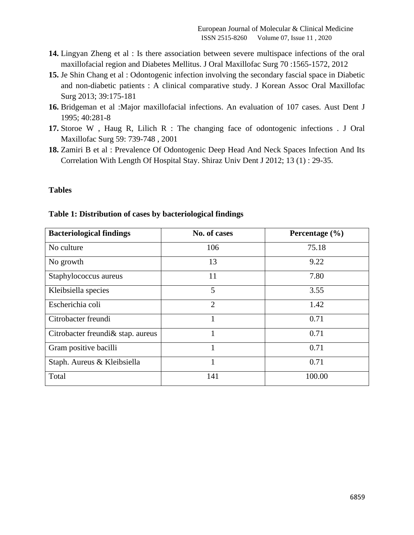- **14.** Lingyan Zheng et al : Is there association between severe multispace infections of the oral maxillofacial region and Diabetes Mellitus. J Oral Maxillofac Surg 70 :1565-1572, 2012
- **15.** Je Shin Chang et al : Odontogenic infection involving the secondary fascial space in Diabetic and non-diabetic patients : A clinical comparative study. J Korean Assoc Oral Maxillofac Surg 2013; 39:175-181
- **16.** Bridgeman et al :Major maxillofacial infections. An evaluation of 107 cases. Aust Dent J 1995; 40:281-8
- **17.** Storoe W , Haug R, Lilich R : The changing face of odontogenic infections . J Oral Maxillofac Surg 59: 739-748 , 2001
- **18.** Zamiri B et al : Prevalence Of Odontogenic Deep Head And Neck Spaces Infection And Its Correlation With Length Of Hospital Stay. Shiraz Univ Dent J 2012; 13 (1) : 29-35.

#### **Tables**

| <b>Bacteriological findings</b>    | No. of cases   | Percentage (%) |  |
|------------------------------------|----------------|----------------|--|
| No culture                         | 106            | 75.18          |  |
| No growth                          | 13             | 9.22           |  |
| Staphylococcus aureus              | 11             | 7.80           |  |
| Kleibsiella species                | 5              | 3.55           |  |
| Escherichia coli                   | $\overline{2}$ | 1.42           |  |
| Citrobacter freundi                | 1              | 0.71           |  |
| Citrobacter freundi & stap. aureus |                | 0.71           |  |
| Gram positive bacilli              | 1              | 0.71           |  |
| Staph. Aureus & Kleibsiella        | 1              | 0.71           |  |
| Total                              | 141            | 100.00         |  |

#### **Table 1: Distribution of cases by bacteriological findings**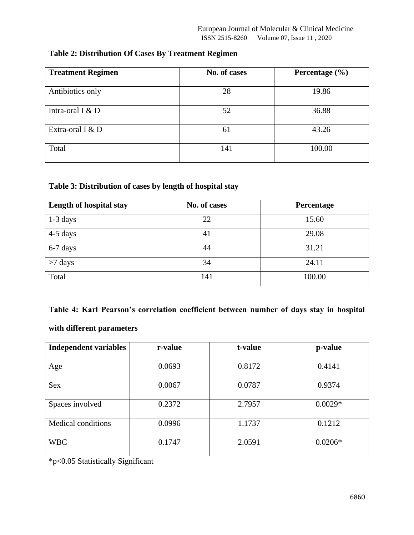| <b>Treatment Regimen</b> | No. of cases | Percentage $(\% )$ |  |
|--------------------------|--------------|--------------------|--|
| Antibiotics only         | 28           | 19.86              |  |
| Intra-oral I $&D$        | 52           | 36.88              |  |
| Extra-oral I $&D$        | 61           | 43.26              |  |
| Total                    | 141          | 100.00             |  |

# **Table 2: Distribution Of Cases By Treatment Regimen**

## **Table 3: Distribution of cases by length of hospital stay**

| Length of hospital stay | No. of cases | Percentage |
|-------------------------|--------------|------------|
| $1-3$ days              | 22           | 15.60      |
| $4-5$ days              | 41           | 29.08      |
| 6-7 days                | 44           | 31.21      |
| $>7$ days               | 34           | 24.11      |
| Total                   | 141          | 100.00     |

## **Table 4: Karl Pearson's correlation coefficient between number of days stay in hospital**

## **with different parameters**

| <b>Independent variables</b> | r-value | t-value<br>p-value |           |
|------------------------------|---------|--------------------|-----------|
|                              |         |                    |           |
| Age                          | 0.0693  | 0.8172             | 0.4141    |
|                              |         |                    |           |
| <b>Sex</b>                   | 0.0067  | 0.0787             | 0.9374    |
|                              |         |                    |           |
| Spaces involved              | 0.2372  | 2.7957             | $0.0029*$ |
|                              |         |                    |           |
| Medical conditions           | 0.0996  | 1.1737             | 0.1212    |
|                              |         |                    |           |
| <b>WBC</b>                   | 0.1747  | 2.0591             | $0.0206*$ |
|                              |         |                    |           |

\*p<0.05 Statistically Significant